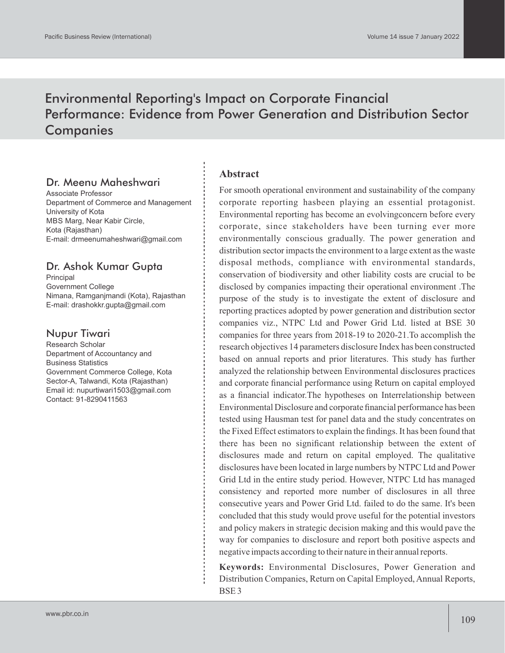# Environmental Reporting's Impact on Corporate Financial Performance: Evidence from Power Generation and Distribution Sector **Companies**

# Dr. Meenu Maheshwari

Associate Professor Department of Commerce and Management University of Kota MBS Marg, Near Kabir Circle, Kota (Rajasthan) E-mail: drmeenumaheshwari@gmail.com

# Dr. Ashok Kumar Gupta

Principal Government College Nimana, Ramganjmandi (Kota), Rajasthan E-mail: drashokkr.gupta@gmail.com

### Nupur Tiwari

Research Scholar Department of Accountancy and Business Statistics Government Commerce College, Kota Sector-A, Talwandi, Kota (Rajasthan) Email id: nupurtiwari1503@gmail.com Contact: 91-8290411563

#### **Abstract**

For smooth operational environment and sustainability of the company corporate reporting hasbeen playing an essential protagonist. Environmental reporting has become an evolvingconcern before every corporate, since stakeholders have been turning ever more environmentally conscious gradually. The power generation and distribution sector impacts the environment to a large extent as the waste disposal methods, compliance with environmental standards, conservation of biodiversity and other liability costs are crucial to be disclosed by companies impacting their operational environment .The purpose of the study is to investigate the extent of disclosure and reporting practices adopted by power generation and distribution sector companies viz., NTPC Ltd and Power Grid Ltd. listed at BSE 30 companies for three years from 2018-19 to 2020-21.To accomplish the research objectives 14 parameters disclosure Index has been constructed based on annual reports and prior literatures. This study has further analyzed the relationship between Environmental disclosures practices and corporate financial performance using Return on capital employed as a financial indicator.The hypotheses on Interrelationship between Environmental Disclosure and corporate financial performance has been tested using Hausman test for panel data and the study concentrates on the Fixed Effect estimators to explain the findings. It has been found that there has been no significant relationship between the extent of disclosures made and return on capital employed. The qualitative disclosures have been located in large numbers by NTPC Ltd and Power Grid Ltd in the entire study period. However, NTPC Ltd has managed consistency and reported more number of disclosures in all three consecutive years and Power Grid Ltd. failed to do the same. It's been concluded that this study would prove useful for the potential investors and policy makers in strategic decision making and this would pave the way for companies to disclosure and report both positive aspects and negative impacts according to their nature in their annual reports.

**Keywords:** Environmental Disclosures, Power Generation and Distribution Companies, Return on Capital Employed, Annual Reports, BSE 3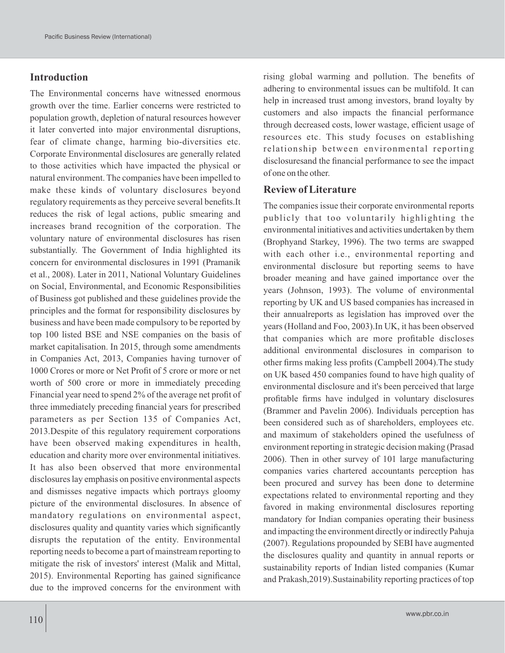### **Introduction**

The Environmental concerns have witnessed enormous growth over the time. Earlier concerns were restricted to population growth, depletion of natural resources however it later converted into major environmental disruptions, fear of climate change, harming bio-diversities etc. Corporate Environmental disclosures are generally related to those activities which have impacted the physical or natural environment. The companies have been impelled to make these kinds of voluntary disclosures beyond regulatory requirements as they perceive several benefits.It reduces the risk of legal actions, public smearing and increases brand recognition of the corporation. The voluntary nature of environmental disclosures has risen substantially. The Government of India highlighted its concern for environmental disclosures in 1991 (Pramanik et al., 2008). Later in 2011, National Voluntary Guidelines on Social, Environmental, and Economic Responsibilities of Business got published and these guidelines provide the principles and the format for responsibility disclosures by business and have been made compulsory to be reported by top 100 listed BSE and NSE companies on the basis of market capitalisation. In 2015, through some amendments in Companies Act, 2013, Companies having turnover of 1000 Crores or more or Net Profit of 5 crore or more or net worth of 500 crore or more in immediately preceding Financial year need to spend 2% of the average net profit of three immediately preceding financial years for prescribed parameters as per Section 135 of Companies Act, 2013.Despite of this regulatory requirement corporations have been observed making expenditures in health, education and charity more over environmental initiatives. It has also been observed that more environmental disclosures lay emphasis on positive environmental aspects and dismisses negative impacts which portrays gloomy picture of the environmental disclosures. In absence of mandatory regulations on environmental aspect, disclosures quality and quantity varies which significantly disrupts the reputation of the entity. Environmental reporting needs to become a part of mainstream reporting to mitigate the risk of investors' interest (Malik and Mittal, 2015). Environmental Reporting has gained significance due to the improved concerns for the environment with

rising global warming and pollution. The benefits of adhering to environmental issues can be multifold. It can help in increased trust among investors, brand loyalty by customers and also impacts the financial performance through decreased costs, lower wastage, efficient usage of resources etc. This study focuses on establishing relationship between environmental reporting disclosuresand the financial performance to see the impact of one on the other.

### **Review of Literature**

The companies issue their corporate environmental reports publicly that too voluntarily highlighting the environmental initiatives and activities undertaken by them (Brophyand Starkey, 1996). The two terms are swapped with each other i.e., environmental reporting and environmental disclosure but reporting seems to have broader meaning and have gained importance over the years (Johnson, 1993). The volume of environmental reporting by UK and US based companies has increased in their annualreports as legislation has improved over the years (Holland and Foo, 2003).In UK, it has been observed that companies which are more profitable discloses additional environmental disclosures in comparison to other firms making less profits (Campbell 2004).The study on UK based 450 companies found to have high quality of environmental disclosure and it's been perceived that large profitable firms have indulged in voluntary disclosures (Brammer and Pavelin 2006). Individuals perception has been considered such as of shareholders, employees etc. and maximum of stakeholders opined the usefulness of environment reporting in strategic decision making (Prasad 2006). Then in other survey of 101 large manufacturing companies varies chartered accountants perception has been procured and survey has been done to determine expectations related to environmental reporting and they favored in making environmental disclosures reporting mandatory for Indian companies operating their business and impacting the environment directly or indirectly Pahuja (2007). Regulations propounded by SEBI have augmented the disclosures quality and quantity in annual reports or sustainability reports of Indian listed companies (Kumar and Prakash,2019).Sustainability reporting practices of top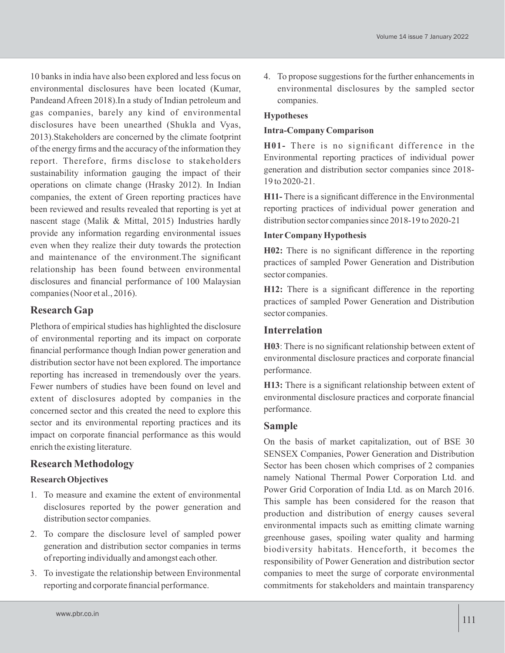10 banks in india have also been explored and less focus on environmental disclosures have been located (Kumar, Pandeand Afreen 2018).In a study of Indian petroleum and gas companies, barely any kind of environmental disclosures have been unearthed (Shukla and Vyas, 2013).Stakeholders are concerned by the climate footprint of the energy firms and the accuracy of the information they report. Therefore, firms disclose to stakeholders sustainability information gauging the impact of their operations on climate change (Hrasky 2012). In Indian companies, the extent of Green reporting practices have been reviewed and results revealed that reporting is yet at nascent stage (Malik & Mittal, 2015) Industries hardly provide any information regarding environmental issues even when they realize their duty towards the protection and maintenance of the environment.The significant relationship has been found between environmental disclosures and financial performance of 100 Malaysian companies (Noor et al., 2016).

# **Research Gap**

Plethora of empirical studies has highlighted the disclosure of environmental reporting and its impact on corporate financial performance though Indian power generation and distribution sector have not been explored. The importance reporting has increased in tremendously over the years. Fewer numbers of studies have been found on level and extent of disclosures adopted by companies in the concerned sector and this created the need to explore this sector and its environmental reporting practices and its impact on corporate financial performance as this would enrich the existing literature.

# **Research Methodology**

#### **Research Objectives**

- 1. To measure and examine the extent of environmental disclosures reported by the power generation and distribution sector companies.
- 2. To compare the disclosure level of sampled power generation and distribution sector companies in terms of reporting individually and amongst each other.
- 3. To investigate the relationship between Environmental reporting and corporate financial performance.

4. To propose suggestions for the further enhancements in environmental disclosures by the sampled sector companies.

### **Hypotheses**

#### **Intra-Company Comparison**

**H01-** There is no significant difference in the Environmental reporting practices of individual power generation and distribution sector companies since 2018- 19 to 2020-21.

**H11-** There is a significant difference in the Environmental reporting practices of individual power generation and distribution sector companies since 2018-19 to 2020-21

### **InterCompany Hypothesis**

**H02:** There is no significant difference in the reporting practices of sampled Power Generation and Distribution sector companies.

**H12:** There is a significant difference in the reporting practices of sampled Power Generation and Distribution sector companies.

### **Interrelation**

**H03**: There is no significant relationship between extent of environmental disclosure practices and corporate financial performance.

**H13:** There is a significant relationship between extent of environmental disclosure practices and corporate financial performance.

### **Sample**

On the basis of market capitalization, out of BSE 30 SENSEX Companies, Power Generation and Distribution Sector has been chosen which comprises of 2 companies namely National Thermal Power Corporation Ltd. and Power Grid Corporation of India Ltd. as on March 2016. This sample has been considered for the reason that production and distribution of energy causes several environmental impacts such as emitting climate warning greenhouse gases, spoiling water quality and harming biodiversity habitats. Henceforth, it becomes the responsibility of Power Generation and distribution sector companies to meet the surge of corporate environmental commitments for stakeholders and maintain transparency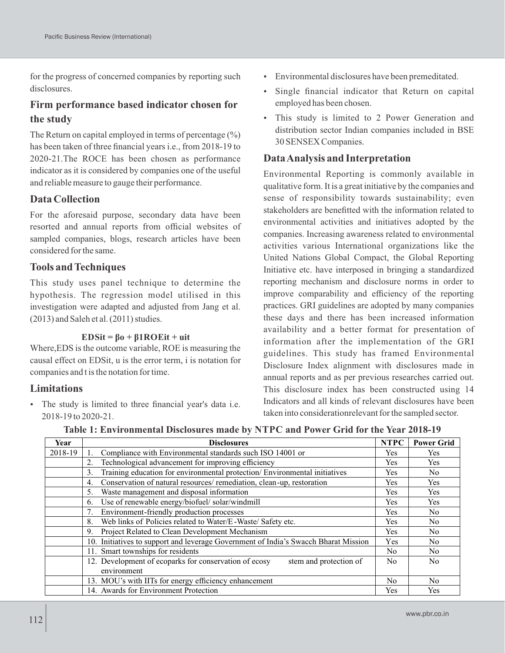for the progress of concerned companies by reporting such disclosures.

# **Firm performance based indicator chosen for the study**

The Return on capital employed in terms of percentage  $(\%)$ has been taken of three financial years i.e., from 2018-19 to 2020-21.The ROCE has been chosen as performance indicator as it is considered by companies one of the useful and reliable measure to gauge their performance.

# **Data Collection**

For the aforesaid purpose, secondary data have been resorted and annual reports from official websites of sampled companies, blogs, research articles have been considered for the same.

# **Tools and Techniques**

This study uses panel technique to determine the hypothesis. The regression model utilised in this investigation were adapted and adjusted from Jang et al. (2013) and Saleh et al. (2011) studies.

# **EDSit = βo + β1ROEit + uit**

Where,EDS is the outcome variable, ROE is measuring the causal effect on EDSit, u is the error term, i is notation for companies and t is the notation for time.

# **Limitations**

 The study is limited to three financial year's data i.e. 2018-19 to 2020-21.

- Environmental disclosures have been premeditated.
- Single financial indicator that Return on capital employed has been chosen.
- This study is limited to 2 Power Generation and distribution sector Indian companies included in BSE 30 SENSEX Companies.

# **Data Analysis and Interpretation**

Environmental Reporting is commonly available in qualitative form. It is a great initiative by the companies and sense of responsibility towards sustainability; even stakeholders are benefitted with the information related to environmental activities and initiatives adopted by the companies. Increasing awareness related to environmental activities various International organizations like the United Nations Global Compact, the Global Reporting Initiative etc. have interposed in bringing a standardized reporting mechanism and disclosure norms in order to improve comparability and efficiency of the reporting practices. GRI guidelines are adopted by many companies these days and there has been increased information availability and a better format for presentation of information after the implementation of the GRI guidelines. This study has framed Environmental Disclosure Index alignment with disclosures made in annual reports and as per previous researches carried out. This disclosure index has been constructed using 14 Indicators and all kinds of relevant disclosures have been taken into considerationrelevant for the sampled sector.

| Table 1: Environmental Disclosures made by NTPC and Power Grid for the Year 2018-19 |  |  |
|-------------------------------------------------------------------------------------|--|--|
|                                                                                     |  |  |

| Year    | <b>Disclosures</b>                                                                  | <b>NTPC</b>    | <b>Power Grid</b> |  |
|---------|-------------------------------------------------------------------------------------|----------------|-------------------|--|
| 2018-19 | Compliance with Environmental standards such ISO 14001 or                           | Yes            | Yes               |  |
|         | Technological advancement for improving efficiency<br>2.                            | Yes            | Yes               |  |
|         | Training education for environmental protection/ Environmental initiatives<br>3.    | Yes            | N <sub>0</sub>    |  |
|         | Conservation of natural resources/remediation, clean-up, restoration<br>4.          | Yes            | Yes               |  |
|         | Waste management and disposal information<br>5.                                     | Yes            | Yes               |  |
|         | Use of renewable energy/biofuel/solar/windmill<br>6.                                | Yes            | Yes               |  |
|         | Environment-friendly production processes                                           | Yes            | N <sub>0</sub>    |  |
|         | Web links of Policies related to Water/E-Waste/ Safety etc.<br>8.                   | Yes            | N <sub>0</sub>    |  |
|         | Project Related to Clean Development Mechanism<br>9.                                | Yes            | N <sub>0</sub>    |  |
|         | 10. Initiatives to support and leverage Government of India's Swacch Bharat Mission | Yes            | N <sub>o</sub>    |  |
|         | 11. Smart townships for residents                                                   | N <sub>0</sub> | N <sub>0</sub>    |  |
|         | 12. Development of ecoparks for conservation of ecosy<br>stem and protection of     | N <sub>0</sub> | N <sub>0</sub>    |  |
|         | environment                                                                         |                |                   |  |
|         | 13. MOU's with IITs for energy efficiency enhancement                               | No.            | N <sub>0</sub>    |  |
|         | 14. Awards for Environment Protection                                               | Yes            | Yes               |  |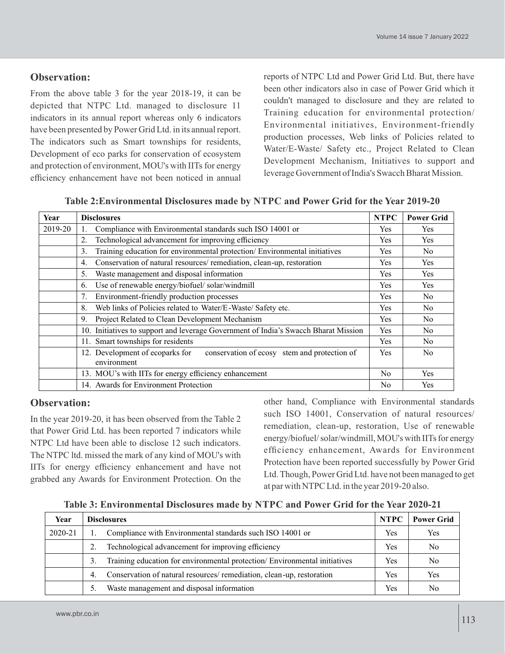### **Observation:**

From the above table 3 for the year 2018-19, it can be depicted that NTPC Ltd. managed to disclosure 11 indicators in its annual report whereas only 6 indicators have been presented by Power Grid Ltd. in its annual report. The indicators such as Smart townships for residents, Development of eco parks for conservation of ecosystem and protection of environment, MOU's with IITs for energy efficiency enhancement have not been noticed in annual

reports of NTPC Ltd and Power Grid Ltd. But, there have been other indicators also in case of Power Grid which it couldn't managed to disclosure and they are related to Training education for environmental protection/ Environmental initiatives, Environment-friendly production processes, Web links of Policies related to Water/E-Waste/ Safety etc., Project Related to Clean Development Mechanism, Initiatives to support and leverage Government of India's Swacch Bharat Mission.

| Year    | <b>Disclosures</b>                                                                  |                | <b>Power Grid</b> |
|---------|-------------------------------------------------------------------------------------|----------------|-------------------|
| 2019-20 | Compliance with Environmental standards such ISO 14001 or<br>1.                     | <b>Yes</b>     | <b>Yes</b>        |
|         | Technological advancement for improving efficiency<br>2.                            | <b>Yes</b>     | <b>Yes</b>        |
|         | Training education for environmental protection/ Environmental initiatives<br>3.    | <b>Yes</b>     | N <sub>0</sub>    |
|         | Conservation of natural resources/remediation, clean-up, restoration<br>4.          | <b>Yes</b>     | Yes               |
|         | Waste management and disposal information<br>5.                                     | <b>Yes</b>     | <b>Yes</b>        |
|         | Use of renewable energy/biofuel/solar/windmill<br>6.                                | <b>Yes</b>     | <b>Yes</b>        |
|         | Environment-friendly production processes<br>7.                                     | <b>Yes</b>     | N <sub>0</sub>    |
|         | Web links of Policies related to Water/E-Waste/ Safety etc.<br>8.                   | <b>Yes</b>     | N <sub>0</sub>    |
|         | Project Related to Clean Development Mechanism<br>9.                                | Yes            | N <sub>0</sub>    |
|         | 10. Initiatives to support and leverage Government of India's Swacch Bharat Mission | <b>Yes</b>     | N <sub>0</sub>    |
|         | 11. Smart townships for residents                                                   | <b>Yes</b>     | N <sub>0</sub>    |
|         | 12. Development of ecoparks for<br>conservation of ecosy stem and protection of     | Yes            | N <sub>0</sub>    |
|         | environment                                                                         |                |                   |
|         | 13. MOU's with IITs for energy efficiency enhancement                               | N <sub>0</sub> | Yes               |
|         | 14. Awards for Environment Protection                                               | N <sub>0</sub> | Yes               |

**Table 2:Environmental Disclosures made by NTPC and Power Grid for the Year 2019-20**

### **Observation:**

In the year 2019-20, it has been observed from the Table 2 that Power Grid Ltd. has been reported 7 indicators while NTPC Ltd have been able to disclose 12 such indicators. The NTPC ltd. missed the mark of any kind of MOU's with IITs for energy efficiency enhancement and have not grabbed any Awards for Environment Protection. On the other hand, Compliance with Environmental standards such ISO 14001, Conservation of natural resources/ remediation, clean-up, restoration, Use of renewable energy/biofuel/ solar/windmill, MOU's with IITs for energy efficiency enhancement, Awards for Environment Protection have been reported successfully by Power Grid Ltd. Though, Power Grid Ltd. have not been managed to get at par with NTPC Ltd. in the year 2019-20 also.

| Year    |    | <b>Disclosures</b>                                                         | <b>NTPC</b> | <b>Power Grid</b> |
|---------|----|----------------------------------------------------------------------------|-------------|-------------------|
| 2020-21 |    | Compliance with Environmental standards such ISO 14001 or                  | Yes         | Yes               |
|         |    | Technological advancement for improving efficiency                         | Yes         | N <sub>0</sub>    |
|         | 3. | Training education for environmental protection/ Environmental initiatives | Yes         | N <sub>0</sub>    |
|         | 4. | Conservation of natural resources/remediation, clean-up, restoration       | Yes         | Yes               |
|         |    | Waste management and disposal information                                  | Yes         | No                |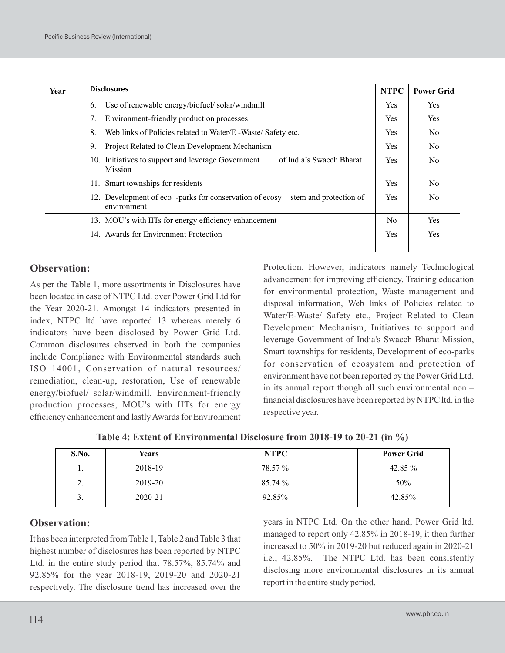| Year | <b>Disclosures</b>                                                                               | <b>NTPC</b>    | <b>Power Grid</b> |
|------|--------------------------------------------------------------------------------------------------|----------------|-------------------|
|      | Use of renewable energy/biofuel/solar/windmill<br>6.                                             | <b>Yes</b>     | <b>Yes</b>        |
|      | Environment-friendly production processes<br>7.                                                  | <b>Yes</b>     | Yes               |
|      | Web links of Policies related to Water/E - Waste/ Safety etc.<br>8.                              | <b>Yes</b>     | N <sub>0</sub>    |
|      | Project Related to Clean Development Mechanism<br>9.                                             | <b>Yes</b>     | N <sub>0</sub>    |
|      | 10. Initiatives to support and leverage Government<br>of India's Swacch Bharat<br>Mission        | <b>Yes</b>     | N <sub>0</sub>    |
|      | 11. Smart townships for residents                                                                | <b>Yes</b>     | N <sub>0</sub>    |
|      | 12. Development of eco -parks for conservation of ecosy<br>stem and protection of<br>environment | <b>Yes</b>     | N <sub>0</sub>    |
|      | 13. MOU's with IITs for energy efficiency enhancement                                            | N <sub>0</sub> | Yes               |
|      | 14. Awards for Environment Protection                                                            | <b>Yes</b>     | Yes               |

#### **Observation:**

As per the Table 1, more assortments in Disclosures have been located in case of NTPC Ltd. over Power Grid Ltd for the Year 2020-21. Amongst 14 indicators presented in index, NTPC ltd have reported 13 whereas merely 6 indicators have been disclosed by Power Grid Ltd. Common disclosures observed in both the companies include Compliance with Environmental standards such ISO 14001, Conservation of natural resources/ remediation, clean-up, restoration, Use of renewable energy/biofuel/ solar/windmill, Environment-friendly production processes, MOU's with IITs for energy efficiency enhancement and lastly Awards for Environment

Protection. However, indicators namely Technological advancement for improving efficiency, Training education for environmental protection, Waste management and disposal information, Web links of Policies related to Water/E-Waste/ Safety etc., Project Related to Clean Development Mechanism, Initiatives to support and leverage Government of India's Swacch Bharat Mission, Smart townships for residents, Development of eco-parks for conservation of ecosystem and protection of environment have not been reported by the Power Grid Ltd. in its annual report though all such environmental non – financial disclosures have been reported by NTPC ltd. in the respective year.

| Table 4: Extent of Environmental Disclosure from 2018-19 to 20-21 (in %) |  |  |  |  |  |  |
|--------------------------------------------------------------------------|--|--|--|--|--|--|
|--------------------------------------------------------------------------|--|--|--|--|--|--|

| S.No. | <b>Years</b> | <b>NTPC</b> | <b>Power Grid</b> |
|-------|--------------|-------------|-------------------|
| . .   | 2018-19      | 78.57 %     | 42.85 $\%$        |
| z.    | 2019-20      | $85.74\%$   | 50%               |
| J.    | 2020-21      | 92.85%      | 42.85%            |

### **Observation:**

It has been interpreted from Table 1, Table 2 and Table 3 that highest number of disclosures has been reported by NTPC Ltd. in the entire study period that 78.57%, 85.74% and 92.85% for the year 2018-19, 2019-20 and 2020-21 respectively. The disclosure trend has increased over the

years in NTPC Ltd. On the other hand, Power Grid ltd. managed to report only 42.85% in 2018-19, it then further increased to 50% in 2019-20 but reduced again in 2020-21 i.e., 42.85%. The NTPC Ltd. has been consistently disclosing more environmental disclosures in its annual report in the entire study period.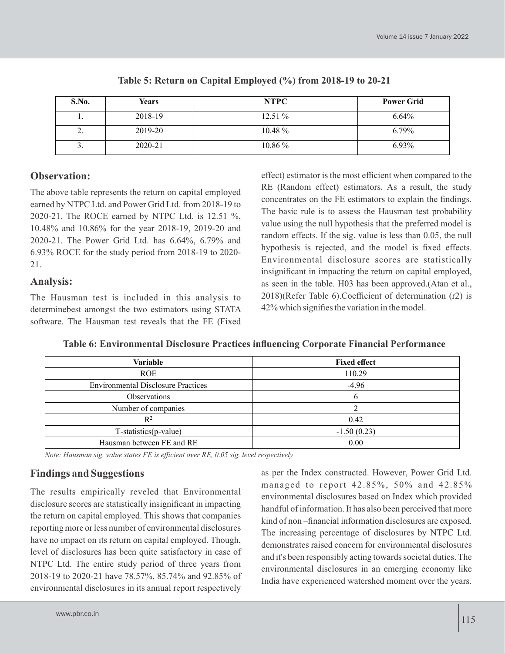| S.No.    | <b>Years</b> | <b>NTPC</b> | <b>Power Grid</b> |
|----------|--------------|-------------|-------------------|
| . .      | 2018-19      | $12.51\%$   | 6.64%             |
| <u>.</u> | 2019-20      | $10.48\%$   | 6.79%             |
| J.       | 2020-21      | $10.86\%$   | 6.93%             |

**Table 5: Return on Capital Employed (%) from 2018-19 to 20-21**

### **Observation:**

The above table represents the return on capital employed earned by NTPC Ltd. and Power Grid Ltd. from 2018-19 to 2020-21. The ROCE earned by NTPC Ltd. is 12.51 %, 10.48% and 10.86% for the year 2018-19, 2019-20 and 2020-21. The Power Grid Ltd. has 6.64%, 6.79% and 6.93% ROCE for the study period from 2018-19 to 2020- 21.

# **Analysis:**

The Hausman test is included in this analysis to determinebest amongst the two estimators using STATA software. The Hausman test reveals that the FE (Fixed effect) estimator is the most efficient when compared to the RE (Random effect) estimators. As a result, the study concentrates on the FE estimators to explain the findings. The basic rule is to assess the Hausman test probability value using the null hypothesis that the preferred model is random effects. If the sig. value is less than 0.05, the null hypothesis is rejected, and the model is fixed effects. Environmental disclosure scores are statistically insignificant in impacting the return on capital employed, as seen in the table. H03 has been approved.(Atan et al., 2018)(Refer Table 6).Coefficient of determination (r2) is 42% which signifies the variation in the model.

| Variable                                  | <b>Fixed effect</b> |
|-------------------------------------------|---------------------|
| <b>ROE</b>                                | 110.29              |
| <b>Environmental Disclosure Practices</b> | $-4.96$             |
| <b>Observations</b>                       | n                   |
| Number of companies                       |                     |
| $R^2$                                     | 0.42                |
| T-statistics(p-value)                     | $-1.50(0.23)$       |
| Hausman between FE and RE                 | 0.00                |

**Table 6: Environmental Disclosure Practices influencing Corporate Financial Performance**

*Note: Hausman sig. value states FE is efficient over RE, 0.05 sig. level respectively*

# **Findings and Suggestions**

The results empirically reveled that Environmental disclosure scores are statistically insignificant in impacting the return on capital employed. This shows that companies reporting more or less number of environmental disclosures have no impact on its return on capital employed. Though, level of disclosures has been quite satisfactory in case of NTPC Ltd. The entire study period of three years from 2018-19 to 2020-21 have 78.57%, 85.74% and 92.85% of environmental disclosures in its annual report respectively

as per the Index constructed. However, Power Grid Ltd. managed to report 42.85%, 50% and 42.85% environmental disclosures based on Index which provided handful of information. It has also been perceived that more kind of non –financial information disclosures are exposed. The increasing percentage of disclosures by NTPC Ltd. demonstrates raised concern for environmental disclosures and it's been responsibly acting towards societal duties. The environmental disclosures in an emerging economy like India have experienced watershed moment over the years.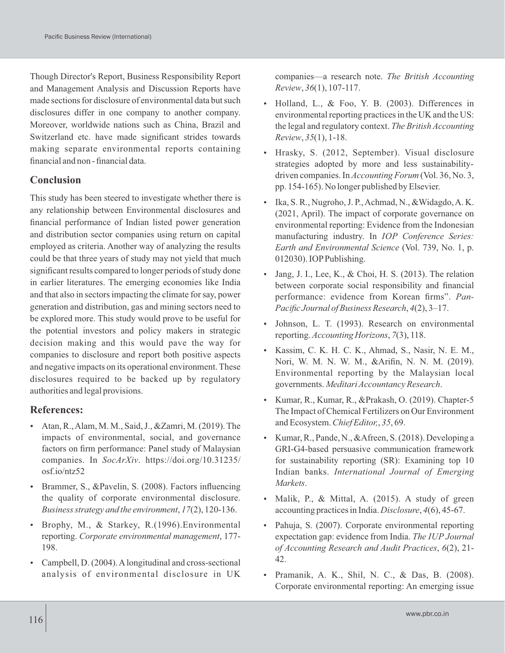Though Director's Report, Business Responsibility Report and Management Analysis and Discussion Reports have made sections for disclosure of environmental data but such disclosures differ in one company to another company. Moreover, worldwide nations such as China, Brazil and Switzerland etc. have made significant strides towards making separate environmental reports containing financial and non - financial data.

### **Conclusion**

This study has been steered to investigate whether there is any relationship between Environmental disclosures and financial performance of Indian listed power generation and distribution sector companies using return on capital employed as criteria. Another way of analyzing the results could be that three years of study may not yield that much significant results compared to longer periods of study done in earlier literatures. The emerging economies like India and that also in sectors impacting the climate for say, power generation and distribution, gas and mining sectors need to be explored more. This study would prove to be useful for the potential investors and policy makers in strategic decision making and this would pave the way for companies to disclosure and report both positive aspects and negative impacts on its operational environment. These disclosures required to be backed up by regulatory authorities and legal provisions.

### **References:**

- Atan, R., Alam, M. M., Said, J., &Zamri, M. (2019). The impacts of environmental, social, and governance factors on firm performance: Panel study of Malaysian companies. In *SocArXiv*. https://doi.org/10.31235/ osf.io/ntz52
- Brammer, S., &Pavelin, S. (2008). Factors influencing the quality of corporate environmental disclosure. *Business strategy and the environment*, *17*(2), 120-136.
- Brophy, M., & Starkey, R.(1996).Environmental reporting. *Corporate environmental management*, 177- 198.
- Campbell, D. (2004). Alongitudinal and cross-sectional analysis of environmental disclosure in UK

companies—a research note. *The British Accounting Review*, *36*(1), 107-117.

- Holland, L., & Foo, Y. B. (2003). Differences in environmental reporting practices in the UK and the US: the legal and regulatory context. *The British Accounting Review*, *35*(1), 1-18.
- Hrasky, S. (2012, September). Visual disclosure strategies adopted by more and less sustainabilitydriven companies. In *Accounting Forum* (Vol. 36, No. 3, pp. 154-165). No longer published by Elsevier.
- Ika, S. R., Nugroho, J. P., Achmad, N., &Widagdo, A. K. (2021, April). The impact of corporate governance on environmental reporting: Evidence from the Indonesian manufacturing industry. In *IOP Conference Series: Earth and Environmental Science* (Vol. 739, No. 1, p. 012030). IOPPublishing.
- Jang, J. I., Lee, K., & Choi, H. S.  $(2013)$ . The relation between corporate social responsibility and financial performance: evidence from Korean firms". *Pan-Pacific Journal of Business Research*, *4*(2), 3–17.
- Johnson, L. T. (1993). Research on environmental reporting. *Accounting Horizons*, *7*(3), 118.
- Kassim, C. K. H. C. K., Ahmad, S., Nasir, N. E. M., Nori, W. M. N. W. M., &Arifin, N. N. M. (2019). Environmental reporting by the Malaysian local governments. *Meditari Accountancy Research*.
- Kumar, R., Kumar, R., &Prakash, O. (2019). Chapter-5 The Impact of Chemical Fertilizers on Our Environment and Ecosystem. *Chief Editor,*, *35*, 69.
- Kumar, R., Pande, N., &Afreen, S. (2018). Developing a GRI-G4-based persuasive communication framework for sustainability reporting (SR): Examining top 10 Indian banks. *International Journal of Emerging Markets*.
- Malik, P., & Mittal, A. (2015). A study of green accounting practices in India. *Disclosure*, *4*(6), 45-67.
- Pahuja, S. (2007). Corporate environmental reporting expectation gap: evidence from India. *The IUP Journal of Accounting Research and Audit Practices*, *6*(2), 21- 42.
- Pramanik, A. K., Shil, N. C., & Das, B. (2008). Corporate environmental reporting: An emerging issue